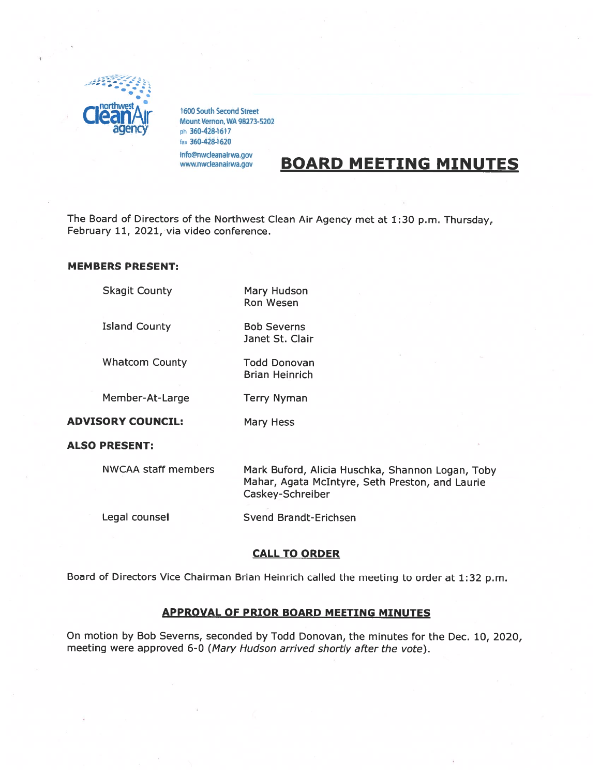

1600 South Second Street<br>Mount Vernon, WA 98273-5202 ph 360-428-1617 fax 360-428-1620

info@nwcleanairwa.gov www.nwcleanairwa.gov

# BOARD MEETING MINUTES

The Board of Directors of the Northwest Clean Air Agency met at 1:30 p.m. Thursday, February 11, 2021, via video conference.

#### MEMBERS PRESENT:

Skagit County **Mary Hudson** 

Island County **Bob Severns** 

Whatcom County Todd Donovan

Brian Heinrich

Janet St. Clair

Ron Wesen

Member-At-Large Terry Nyman

ADVISORY COUNCIL: Mary Hess

ALSO PRESENT:

NWCAA staff members Mark Buford, Alicia Huschka, Shannon Logan, Toby Mahar, Agata McIntyre, Seth Preston, and Laurie Caskey-Schreiber

Legal counsel Svend Brandt-Erichsen

# CALL TO ORDER

Board of Directors Vice Chairman Brian Heinrich called the meeting to order at 1:32 p.m.

## APPROVAL OF PRIOR BOARD MEETING MINUTES

On motion by Bob Severns, seconded by Todd Donovan, the minutes for the Dec. 10, 2020, meeting were approved 6-0 (Mary Hudson arrived shortly after the vote).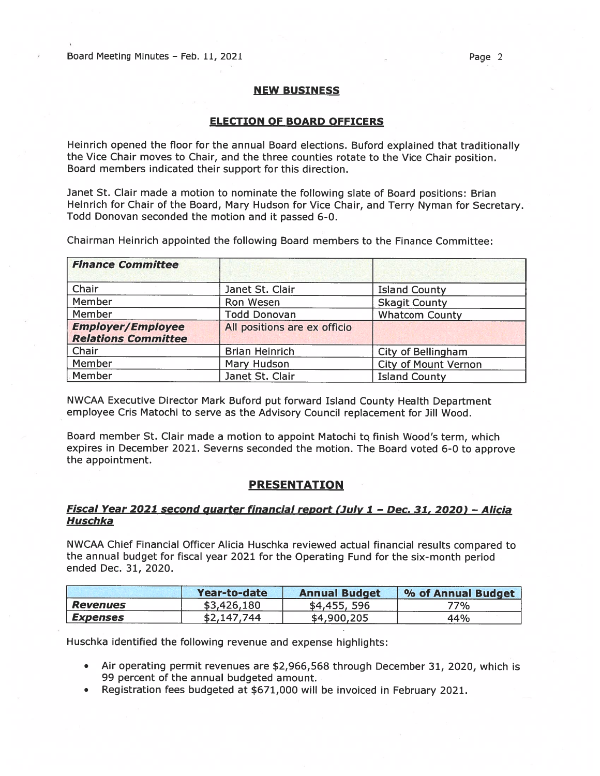Board Meeting Minutes – Feb. 11, 2021 Page 2

## NEW BUSINESS

## ELECTION OF BOARD OFFICERS

Heinrich opened the floor for the annual Board elections. Buford explained that traditionally the Vice Chair moves to Chair, and the three counties rotate to the Vice Chair position. Board members indicated their suppor<sup>t</sup> for this direction.

Janet St. Clair made <sup>a</sup> motion to nominate the following slate of Board positions: Brian Heinrich for Chair of the Board, Mary Hudson for Vice Chair, and Terry Nyman for Secretary. Todd Donovan seconded the motion and it passed 6-0.

Chairman Heinrich appointed the following Board members to the Finance Committee:

| <b>Finance Committee</b>                               |                              |                             |  |  |
|--------------------------------------------------------|------------------------------|-----------------------------|--|--|
| Chair                                                  | Janet St. Clair              | <b>Island County</b>        |  |  |
| Member                                                 | Ron Wesen                    | <b>Skagit County</b>        |  |  |
| Member                                                 | <b>Todd Donovan</b>          | <b>Whatcom County</b>       |  |  |
| <b>Employer/Employee</b><br><b>Relations Committee</b> | All positions are ex officio |                             |  |  |
| Chair                                                  | <b>Brian Heinrich</b>        | City of Bellingham          |  |  |
| Member                                                 | Mary Hudson                  | <b>City of Mount Vernon</b> |  |  |
| Member                                                 | Janet St. Clair              | <b>Island County</b>        |  |  |

NWCAA Executive Director Mark Buford pu<sup>t</sup> forward Island County Health Department employee Cris Matochi to serve as the Advisory Council replacement for Jill Wood.

Board member St. Clair made a motion to appoint Matochi to finish Wood's term, which expires in December 2021. Severns seconded the motion. The Board voted 6-0 to approve the appointment.

# PRESENTATION

# Fiscal Year 2021 second quarter financial report (July 1 - Dec. 31, 2020) - Alicia Huschka

NWCAA Chief Financial Officer Alicia Huschka reviewed actual financial results compare<sup>d</sup> to the annual budget for fiscal year 2021 for the Operating Fund for the six-month period ended Dec. 31, 2020.

|                        | Year-to-date | <b>Annual Budget</b> | % of Annual Budget |
|------------------------|--------------|----------------------|--------------------|
| <b>Revenues</b>        | \$3,426,180  | \$4,455,596          | 77%                |
| <i><b>Expenses</b></i> | \$2,147,744  | \$4,900,205          | 44%                |

Huschka identified the following revenue and expense highlights:

- • Air operating permit revenues are \$2,966,568 through December 31, 2020, which is 99 percen<sup>t</sup> of the annual budgeted amount.
- •Registration fees budgeted at \$671,000 will be invoiced in February 2021.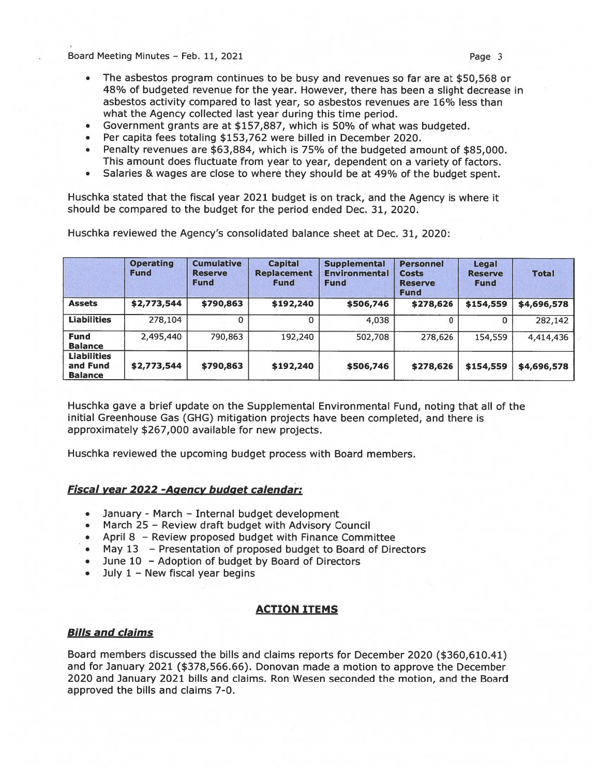Board Meeting Minutes – Feb. 11, 2021 Page 3

- The asbestos program continues to be busy and revenues so far are at \$50,568 or 48% of budgeted revenue for the year. However, there has been <sup>a</sup> slight decrease in asbestos activity compared to last year, so asbestos revenues are l6% less than what the Agency collected last year during this time period.
- $\bullet$ Government grants are at \$157,887, which is 5O% of what was budgeted.
- •Per capita fees totaling \$153,762 were billed in December 2020.
- • Penalty revenues are \$63,884, which is 75% of the budgeted amount of \$85,000. This amount does fluctuate from year to year, dependent on <sup>a</sup> variety of factors.
- Salaries & wages are close to where they should be at 49% of the budget spent.

Huschka stated that the fiscal year 2021 budget is on track, and the Agency is where it should be compared to the budget for the period ended Dec. 31, 2020.

Huschka reviewed the Agency's consolidated balance sheet at Dec. 31, 2020:

|                                                  | <b>Operating</b><br><b>Fund</b> | <b>Cumulative</b><br><b>Reserve</b><br><b>Fund</b> | <b>Capital</b><br><b>Replacement</b><br><b>Fund</b> | <b>Supplemental</b><br><b>Environmental</b><br><b>Fund</b> | <b>Personnel</b><br><b>Costs</b><br><b>Reserve</b><br><b>Fund</b> | Legal<br><b>Reserve</b><br><b>Fund</b> | <b>Total</b> |
|--------------------------------------------------|---------------------------------|----------------------------------------------------|-----------------------------------------------------|------------------------------------------------------------|-------------------------------------------------------------------|----------------------------------------|--------------|
| <b>Assets</b>                                    | \$2,773,544                     | \$790,863                                          | \$192,240                                           | \$506,746                                                  | \$278,626                                                         | \$154,559                              | \$4,696,578  |
| <b>Liabilities</b>                               | 278,104                         | 0                                                  | 0                                                   | 4,038                                                      | 0                                                                 | 0                                      | 282,142      |
| <b>Fund</b><br><b>Balance</b>                    | 2,495,440                       | 790,863                                            | 192,240                                             | 502,708                                                    | 278,626                                                           | 154,559                                | 4,414,436    |
| <b>Liabilities</b><br>and Fund<br><b>Balance</b> | \$2,773,544                     | \$790,863                                          | \$192,240                                           | \$506,746                                                  | \$278,626                                                         | \$154,559                              | \$4,696,578  |

Huschka gave <sup>a</sup> brief update on the Supplemental Environmental Fund, noting that all of the initial Greenhouse Gas (GHG) mitigation projects have been completed, and there is approximately \$267,000 available for new projects.

Huschka reviewed the upcoming budget process with Board members.

# Fiscal year 2022 - Agency budget calendar:

- •January - March — Internal budget development
- March 25 Review draft budget with Advisory Council
- April8 Review proposed budget with Finance Committee
- May13 Presentation of proposed budget to Board of Directors
- •June 10 — Adoption of budget by Board of Directors
- •• July 1 – New fiscal year begins

# ACTION ITEMS

# Bills and claims

Board members discussed the bills and claims reports for December 2020 (\$360,610.41) and for January 2021 (\$378,566.66). Donovan made <sup>a</sup> motion to approve the December 2020 and January 2021 bills and claims. Ron Wesen seconded the motion, and the Board approved the bills and claims 7-0.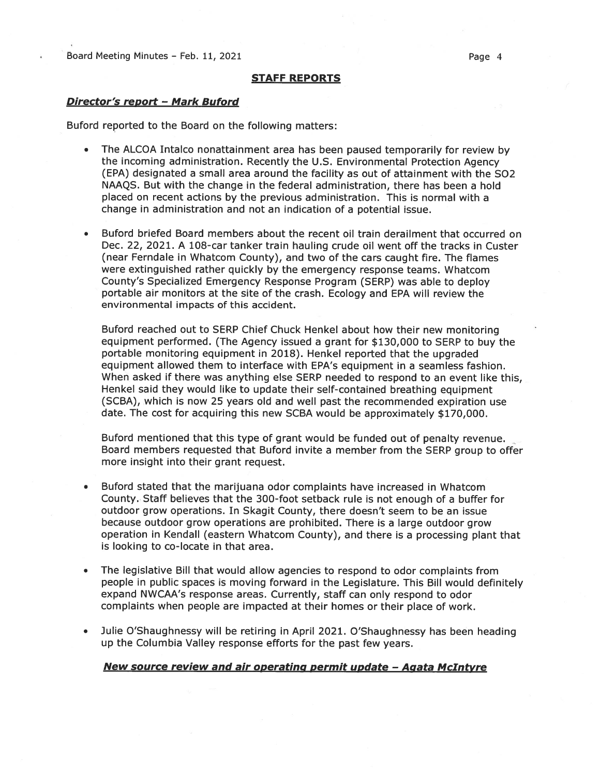Board Meeting Minutes - Feb. 11, 2021 **Page 4** 

#### STAFF REPORTS

#### Director's report - Mark Buford

Buford reported to the Board on the following matters:

- • The ALCOA Intalco nonattainment area has been pause<sup>d</sup> temporarily for review by the incoming administration. Recently the U.S. Environmental Protection Agency (EPA) designated <sup>a</sup> small area around the facility as out of attainment with the S02 NAAQS. But with the change in the federal administration, there has been <sup>a</sup> hold placed on recent actions by the previous administration. This is normal with <sup>a</sup> change in administration and not an indication of <sup>a</sup> potential issue.
- • Buford briefed Board members about the recent oil train derailment that occurred on Dec. 22, 2021. A 108-car tanker train hauling crude oil went off the tracks in Custer (near Ferndale in Whatcom County), and two of the cars caught fire. The flames were extinguished rather quickly by the emergency response teams. Whatcom County's Specialized Emergency Response Program (SERP) was able to deploy portable air monitors at the site of the crash. Ecology and EPA will review the environmental impacts of this accident.

Buford reached out to SERP Chief Chuck Henkel about how their new monitoring equipment performed. (The Agency issued <sup>a</sup> gran<sup>t</sup> for \$130,000 to SERP to buy the portable monitoring equipment in 2018). Henkel reported that the upgraded equipment allowed them to interface with EPA's equipment in <sup>a</sup> seamless fashion. When asked if there was anything else SERP needed to respond to an event like this, Henkel said they would like to update their self-contained breathing equipment (SCBA), which is now 25 years old and well pas<sup>t</sup> the recommended expiration use date. The cost for acquiring this new SCBA would be approximately \$170,000.

Buford mentioned that this type of gran<sup>t</sup> would be funded out of penalty revenue. Board members requested that Buford invite <sup>a</sup> member from the SERP group to offer more insight into their gran<sup>t</sup> request.

- • Buford stated that the marijuana odor complaints have increased in Whatcom County. Staff believes that the 300-foot setback rule is not enough of <sup>a</sup> buffer for outdoor grow operations. In Skagit County, there doesn't seem to be an issue because outdoor grow operations are prohibited. There is <sup>a</sup> large outdoor grow operation in Kendall (eastern Whatcom County), and there is <sup>a</sup> processing <sup>p</sup>lant that is looking to co-locate in that area.
- • The legislative Bill that would allow agencies to respond to odor complaints from people in public spaces is moving forward in the Legislature. This Bill would definitely expand NWCAA's response areas. Currently, staff can only respond to odor complaints when people are impacted at their homes or their place of work.
- • Julie O'Shaughnessy will be retiring in April 2021. O'Shaughnessy has been heading up the Columbia Valley response efforts for the pas<sup>t</sup> few years.

#### New source review and air operating permit update - Agata McIntyre